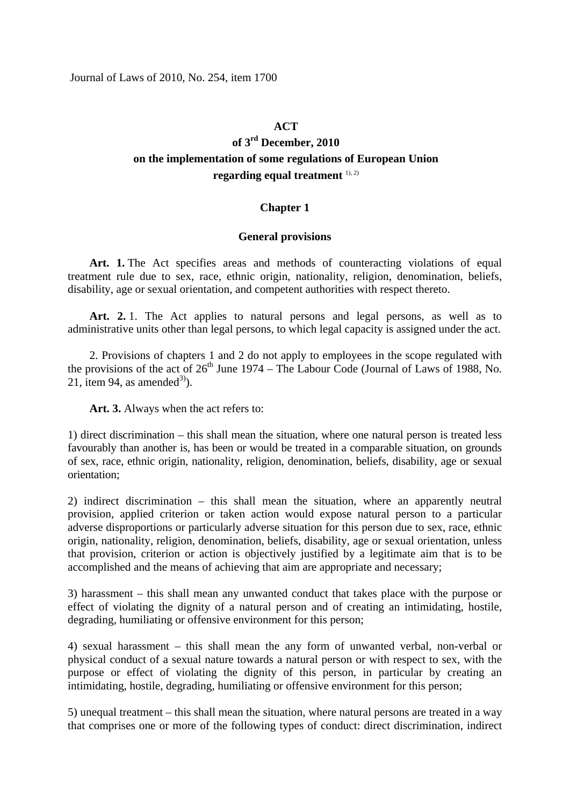### **ACT**

# **of 3rd December, 2010 on the implementation of some regulations of European Union**  regarding equal treatment <sup>1), 2)</sup>

## **Chapter 1**

#### **General provisions**

**Art. 1.** The Act specifies areas and methods of counteracting violations of equal treatment rule due to sex, race, ethnic origin, nationality, religion, denomination, beliefs, disability, age or sexual orientation, and competent authorities with respect thereto.

Art. 2. 1. The Act applies to natural persons and legal persons, as well as to administrative units other than legal persons, to which legal capacity is assigned under the act.

2. Provisions of chapters 1 and 2 do not apply to employees in the scope regulated with the provisions of the act of  $26<sup>th</sup>$  June 1974 – The Labour Code (Journal of Laws of 1988, No. 21, item 94, as amended<sup>3)</sup>).

**Art. 3.** Always when the act refers to:

1) direct discrimination – this shall mean the situation, where one natural person is treated less favourably than another is, has been or would be treated in a comparable situation, on grounds of sex, race, ethnic origin, nationality, religion, denomination, beliefs, disability, age or sexual orientation;

2) indirect discrimination – this shall mean the situation, where an apparently neutral provision, applied criterion or taken action would expose natural person to a particular adverse disproportions or particularly adverse situation for this person due to sex, race, ethnic origin, nationality, religion, denomination, beliefs, disability, age or sexual orientation, unless that provision, criterion or action is objectively justified by a legitimate aim that is to be accomplished and the means of achieving that aim are appropriate and necessary;

3) harassment – this shall mean any unwanted conduct that takes place with the purpose or effect of violating the dignity of a natural person and of creating an intimidating, hostile, degrading, humiliating or offensive environment for this person;

4) sexual harassment – this shall mean the any form of unwanted verbal, non-verbal or physical conduct of a sexual nature towards a natural person or with respect to sex, with the purpose or effect of violating the dignity of this person, in particular by creating an intimidating, hostile, degrading, humiliating or offensive environment for this person;

5) unequal treatment – this shall mean the situation, where natural persons are treated in a way that comprises one or more of the following types of conduct: direct discrimination, indirect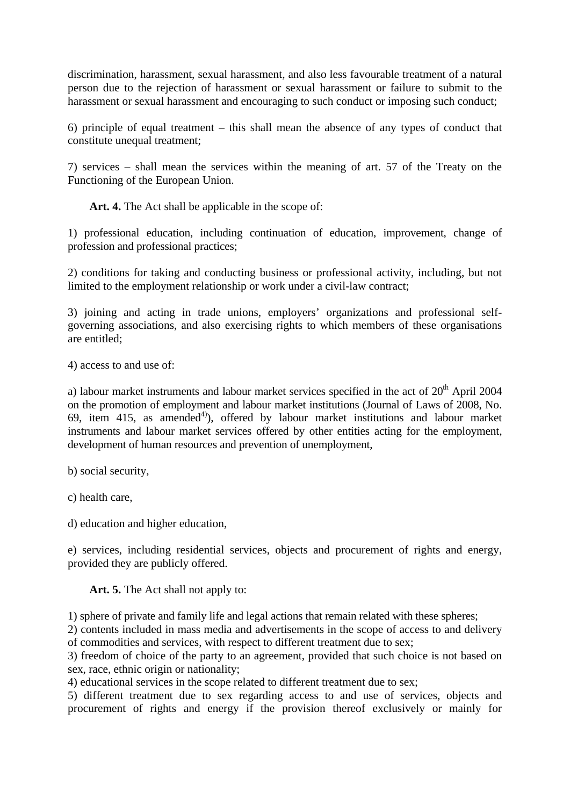discrimination, harassment, sexual harassment, and also less favourable treatment of a natural person due to the rejection of harassment or sexual harassment or failure to submit to the harassment or sexual harassment and encouraging to such conduct or imposing such conduct;

6) principle of equal treatment – this shall mean the absence of any types of conduct that constitute unequal treatment;

7) services – shall mean the services within the meaning of art. 57 of the Treaty on the Functioning of the European Union.

Art. 4. The Act shall be applicable in the scope of:

1) professional education, including continuation of education, improvement, change of profession and professional practices;

2) conditions for taking and conducting business or professional activity, including, but not limited to the employment relationship or work under a civil-law contract;

3) joining and acting in trade unions, employers' organizations and professional selfgoverning associations, and also exercising rights to which members of these organisations are entitled;

4) access to and use of:

a) labour market instruments and labour market services specified in the act of  $20<sup>th</sup>$  April 2004 on the promotion of employment and labour market institutions (Journal of Laws of 2008, No. 69, item 415, as amended<sup>4)</sup>, offered by labour market institutions and labour market instruments and labour market services offered by other entities acting for the employment, development of human resources and prevention of unemployment,

b) social security,

c) health care,

d) education and higher education,

e) services, including residential services, objects and procurement of rights and energy, provided they are publicly offered.

**Art. 5.** The Act shall not apply to:

1) sphere of private and family life and legal actions that remain related with these spheres;

2) contents included in mass media and advertisements in the scope of access to and delivery of commodities and services, with respect to different treatment due to sex;

3) freedom of choice of the party to an agreement, provided that such choice is not based on sex, race, ethnic origin or nationality;

4) educational services in the scope related to different treatment due to sex;

5) different treatment due to sex regarding access to and use of services, objects and procurement of rights and energy if the provision thereof exclusively or mainly for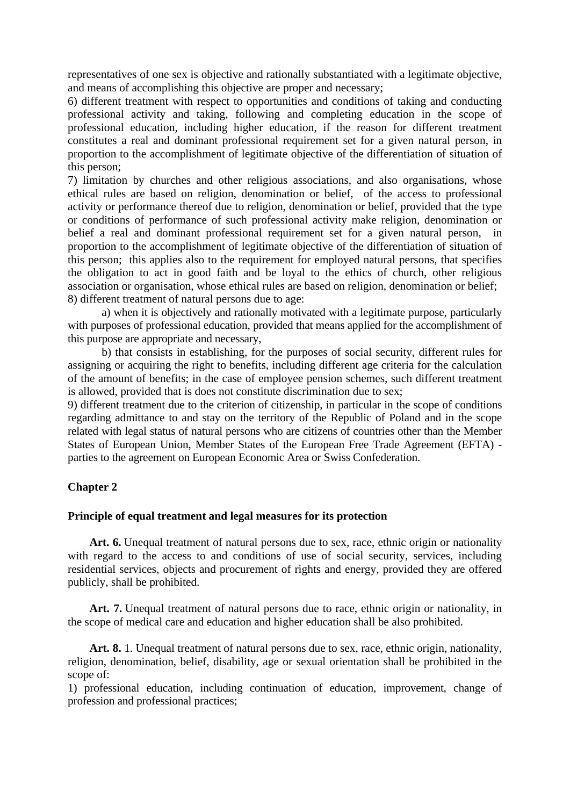representatives of one sex is objective and rationally substantiated with a legitimate objective, and means of accomplishing this objective are proper and necessary;

6) different treatment with respect to opportunities and conditions of taking and conducting professional activity and taking, following and completing education in the scope of professional education, including higher education, if the reason for different treatment constitutes a real and dominant professional requirement set for a given natural person, in proportion to the accomplishment of legitimate objective of the differentiation of situation of this person;

7) limitation by churches and other religious associations, and also organisations, whose ethical rules are based on religion, denomination or belief, of the access to professional activity or performance thereof due to religion, denomination or belief, provided that the type or conditions of performance of such professional activity make religion, denomination or belief a real and dominant professional requirement set for a given natural person, in proportion to the accomplishment of legitimate objective of the differentiation of situation of this person; this applies also to the requirement for employed natural persons, that specifies the obligation to act in good faith and be loyal to the ethics of church, other religious association or organisation, whose ethical rules are based on religion, denomination or belief; 8) different treatment of natural persons due to age:

a) when it is objectively and rationally motivated with a legitimate purpose, particularly with purposes of professional education, provided that means applied for the accomplishment of this purpose are appropriate and necessary,

b) that consists in establishing, for the purposes of social security, different rules for assigning or acquiring the right to benefits, including different age criteria for the calculation of the amount of benefits; in the case of employee pension schemes, such different treatment is allowed, provided that is does not constitute discrimination due to sex;

9) different treatment due to the criterion of citizenship, in particular in the scope of conditions regarding admittance to and stay on the territory of the Republic of Poland and in the scope related with legal status of natural persons who are citizens of countries other than the Member States of European Union, Member States of the European Free Trade Agreement (EFTA) parties to the agreement on European Economic Area or Swiss Confederation.

# **Chapter 2**

## **Principle of equal treatment and legal measures for its protection**

Art. 6. Unequal treatment of natural persons due to sex, race, ethnic origin or nationality with regard to the access to and conditions of use of social security, services, including residential services, objects and procurement of rights and energy, provided they are offered publicly, shall be prohibited.

Art. 7. Unequal treatment of natural persons due to race, ethnic origin or nationality, in the scope of medical care and education and higher education shall be also prohibited.

**Art. 8.** 1. Unequal treatment of natural persons due to sex, race, ethnic origin, nationality, religion, denomination, belief, disability, age or sexual orientation shall be prohibited in the scope of:

1) professional education, including continuation of education, improvement, change of profession and professional practices;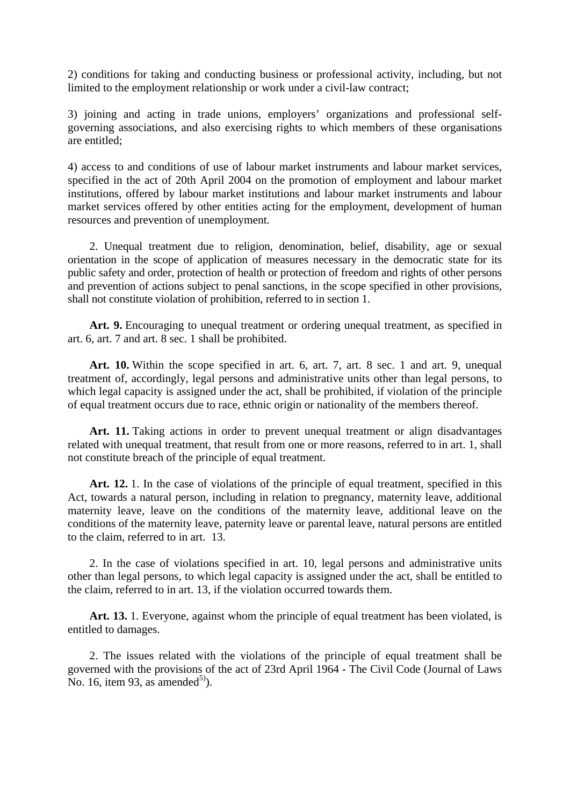2) conditions for taking and conducting business or professional activity, including, but not limited to the employment relationship or work under a civil-law contract;

3) joining and acting in trade unions, employers' organizations and professional selfgoverning associations, and also exercising rights to which members of these organisations are entitled;

4) access to and conditions of use of labour market instruments and labour market services, specified in the act of 20th April 2004 on the promotion of employment and labour market institutions, offered by labour market institutions and labour market instruments and labour market services offered by other entities acting for the employment, development of human resources and prevention of unemployment.

2. Unequal treatment due to religion, denomination, belief, disability, age or sexual orientation in the scope of application of measures necessary in the democratic state for its public safety and order, protection of health or protection of freedom and rights of other persons and prevention of actions subject to penal sanctions, in the scope specified in other provisions, shall not constitute violation of prohibition, referred to in section 1.

Art. 9. Encouraging to unequal treatment or ordering unequal treatment, as specified in art. 6, art. 7 and art. 8 sec. 1 shall be prohibited.

**Art. 10.** Within the scope specified in art. 6, art. 7, art. 8 sec. 1 and art. 9, unequal treatment of, accordingly, legal persons and administrative units other than legal persons, to which legal capacity is assigned under the act, shall be prohibited, if violation of the principle of equal treatment occurs due to race, ethnic origin or nationality of the members thereof.

Art. 11. Taking actions in order to prevent unequal treatment or align disadvantages related with unequal treatment, that result from one or more reasons, referred to in art. 1, shall not constitute breach of the principle of equal treatment.

**Art. 12.** 1. In the case of violations of the principle of equal treatment, specified in this Act, towards a natural person, including in relation to pregnancy, maternity leave, additional maternity leave, leave on the conditions of the maternity leave, additional leave on the conditions of the maternity leave, paternity leave or parental leave, natural persons are entitled to the claim, referred to in art. 13.

2. In the case of violations specified in art. 10, legal persons and administrative units other than legal persons, to which legal capacity is assigned under the act, shall be entitled to the claim, referred to in art. 13, if the violation occurred towards them.

**Art. 13.** 1. Everyone, against whom the principle of equal treatment has been violated, is entitled to damages.

2. The issues related with the violations of the principle of equal treatment shall be governed with the provisions of the act of 23rd April 1964 - The Civil Code (Journal of Laws No. 16, item 93, as amended<sup>5)</sup>).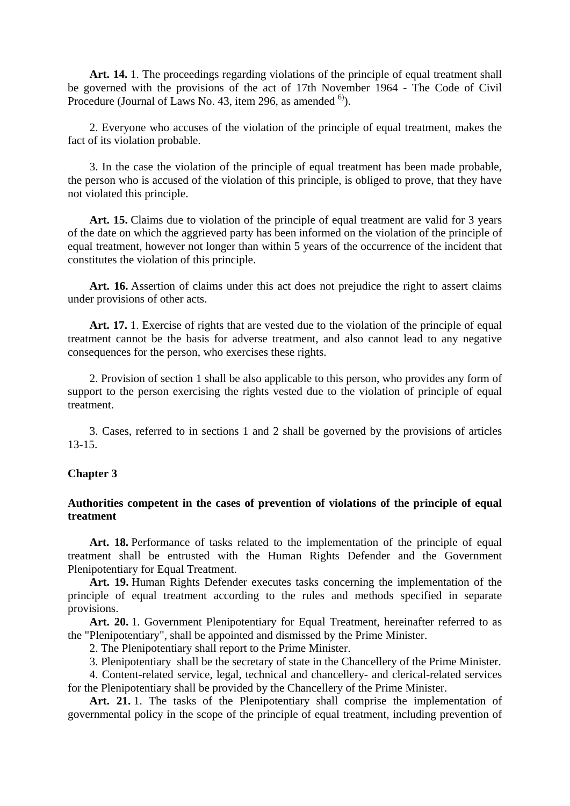Art. 14. 1. The proceedings regarding violations of the principle of equal treatment shall be governed with the provisions of the act of 17th November 1964 - The Code of Civil Procedure (Journal of Laws No. 43, item 296, as amended  $^{6}$ ).

2. Everyone who accuses of the violation of the principle of equal treatment, makes the fact of its violation probable.

3. In the case the violation of the principle of equal treatment has been made probable, the person who is accused of the violation of this principle, is obliged to prove, that they have not violated this principle.

**Art. 15.** Claims due to violation of the principle of equal treatment are valid for 3 years of the date on which the aggrieved party has been informed on the violation of the principle of equal treatment, however not longer than within 5 years of the occurrence of the incident that constitutes the violation of this principle.

**Art. 16.** Assertion of claims under this act does not prejudice the right to assert claims under provisions of other acts.

**Art. 17.** 1. Exercise of rights that are vested due to the violation of the principle of equal treatment cannot be the basis for adverse treatment, and also cannot lead to any negative consequences for the person, who exercises these rights.

2. Provision of section 1 shall be also applicable to this person, who provides any form of support to the person exercising the rights vested due to the violation of principle of equal treatment.

3. Cases, referred to in sections 1 and 2 shall be governed by the provisions of articles 13-15.

#### **Chapter 3**

### **Authorities competent in the cases of prevention of violations of the principle of equal treatment**

**Art. 18.** Performance of tasks related to the implementation of the principle of equal treatment shall be entrusted with the Human Rights Defender and the Government Plenipotentiary for Equal Treatment.

**Art. 19.** Human Rights Defender executes tasks concerning the implementation of the principle of equal treatment according to the rules and methods specified in separate provisions.

**Art. 20.** 1. Government Plenipotentiary for Equal Treatment, hereinafter referred to as the "Plenipotentiary", shall be appointed and dismissed by the Prime Minister.

2. The Plenipotentiary shall report to the Prime Minister.

3. Plenipotentiary shall be the secretary of state in the Chancellery of the Prime Minister.

4. Content-related service, legal, technical and chancellery- and clerical-related services for the Plenipotentiary shall be provided by the Chancellery of the Prime Minister.

Art. 21.1. The tasks of the Plenipotentiary shall comprise the implementation of governmental policy in the scope of the principle of equal treatment, including prevention of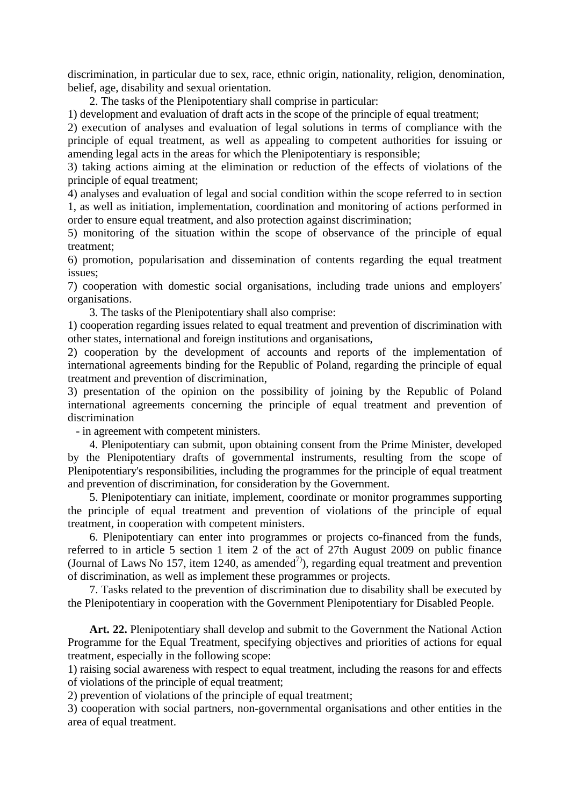discrimination, in particular due to sex, race, ethnic origin, nationality, religion, denomination, belief, age, disability and sexual orientation.

2. The tasks of the Plenipotentiary shall comprise in particular:

1) development and evaluation of draft acts in the scope of the principle of equal treatment;

2) execution of analyses and evaluation of legal solutions in terms of compliance with the principle of equal treatment, as well as appealing to competent authorities for issuing or amending legal acts in the areas for which the Plenipotentiary is responsible;

3) taking actions aiming at the elimination or reduction of the effects of violations of the principle of equal treatment;

4) analyses and evaluation of legal and social condition within the scope referred to in section 1, as well as initiation, implementation, coordination and monitoring of actions performed in order to ensure equal treatment, and also protection against discrimination;

5) monitoring of the situation within the scope of observance of the principle of equal treatment;

6) promotion, popularisation and dissemination of contents regarding the equal treatment issues;

7) cooperation with domestic social organisations, including trade unions and employers' organisations.

3. The tasks of the Plenipotentiary shall also comprise:

1) cooperation regarding issues related to equal treatment and prevention of discrimination with other states, international and foreign institutions and organisations,

2) cooperation by the development of accounts and reports of the implementation of international agreements binding for the Republic of Poland, regarding the principle of equal treatment and prevention of discrimination,

3) presentation of the opinion on the possibility of joining by the Republic of Poland international agreements concerning the principle of equal treatment and prevention of discrimination

- in agreement with competent ministers.

4. Plenipotentiary can submit, upon obtaining consent from the Prime Minister, developed by the Plenipotentiary drafts of governmental instruments, resulting from the scope of Plenipotentiary's responsibilities, including the programmes for the principle of equal treatment and prevention of discrimination, for consideration by the Government.

5. Plenipotentiary can initiate, implement, coordinate or monitor programmes supporting the principle of equal treatment and prevention of violations of the principle of equal treatment, in cooperation with competent ministers.

6. Plenipotentiary can enter into programmes or projects co-financed from the funds, referred to in article 5 section 1 item 2 of the act of 27th August 2009 on public finance (Journal of Laws No 157, item 1240, as amended<sup>7)</sup>), regarding equal treatment and prevention of discrimination, as well as implement these programmes or projects.

7. Tasks related to the prevention of discrimination due to disability shall be executed by the Plenipotentiary in cooperation with the Government Plenipotentiary for Disabled People.

**Art. 22.** Plenipotentiary shall develop and submit to the Government the National Action Programme for the Equal Treatment, specifying objectives and priorities of actions for equal treatment, especially in the following scope:

1) raising social awareness with respect to equal treatment, including the reasons for and effects of violations of the principle of equal treatment;

2) prevention of violations of the principle of equal treatment;

3) cooperation with social partners, non-governmental organisations and other entities in the area of equal treatment.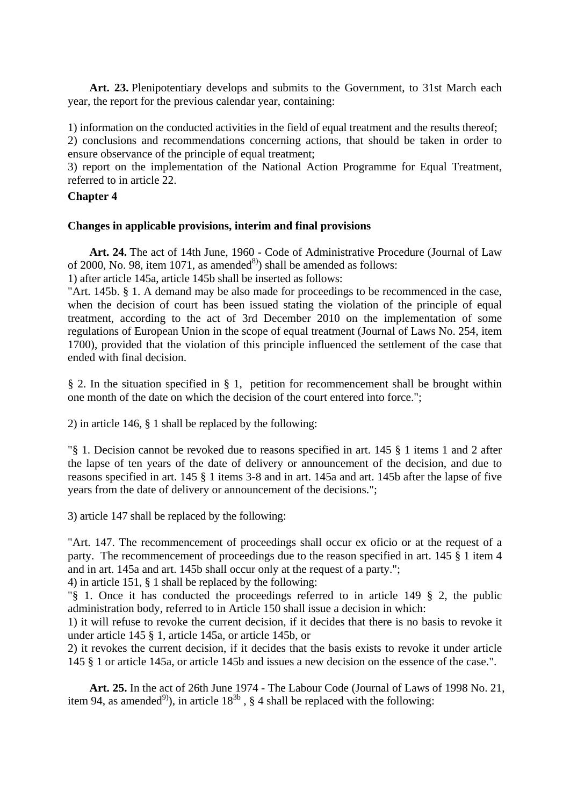**Art. 23.** Plenipotentiary develops and submits to the Government, to 31st March each year, the report for the previous calendar year, containing:

1) information on the conducted activities in the field of equal treatment and the results thereof;

2) conclusions and recommendations concerning actions, that should be taken in order to ensure observance of the principle of equal treatment;

3) report on the implementation of the National Action Programme for Equal Treatment, referred to in article 22.

# **Chapter 4**

## **Changes in applicable provisions, interim and final provisions**

**Art. 24.** The act of 14th June, 1960 - Code of Administrative Procedure (Journal of Law of 2000, No. 98, item 1071, as amended<sup>8)</sup> shall be amended as follows:

1) after article 145a, article 145b shall be inserted as follows:

"Art. 145b. § 1. A demand may be also made for proceedings to be recommenced in the case, when the decision of court has been issued stating the violation of the principle of equal treatment, according to the act of 3rd December 2010 on the implementation of some regulations of European Union in the scope of equal treatment (Journal of Laws No. 254, item 1700), provided that the violation of this principle influenced the settlement of the case that ended with final decision.

§ 2. In the situation specified in § 1, petition for recommencement shall be brought within one month of the date on which the decision of the court entered into force.";

2) in article 146, § 1 shall be replaced by the following:

"§ 1. Decision cannot be revoked due to reasons specified in art. 145 § 1 items 1 and 2 after the lapse of ten years of the date of delivery or announcement of the decision, and due to reasons specified in art. 145 § 1 items 3-8 and in art. 145a and art. 145b after the lapse of five years from the date of delivery or announcement of the decisions.";

3) article 147 shall be replaced by the following:

"Art. 147. The recommencement of proceedings shall occur ex oficio or at the request of a party. The recommencement of proceedings due to the reason specified in art. 145 § 1 item 4 and in art. 145a and art. 145b shall occur only at the request of a party.";

4) in article 151, § 1 shall be replaced by the following:

"§ 1. Once it has conducted the proceedings referred to in article 149 § 2, the public administration body, referred to in Article 150 shall issue a decision in which:

1) it will refuse to revoke the current decision, if it decides that there is no basis to revoke it under article 145 § 1, article 145a, or article 145b, or

2) it revokes the current decision, if it decides that the basis exists to revoke it under article 145 § 1 or article 145a, or article 145b and issues a new decision on the essence of the case.".

**Art. 25.** In the act of 26th June 1974 - The Labour Code (Journal of Laws of 1998 No. 21, item 94, as amended<sup>9</sup>), in article  $18^{3b}$ , § 4 shall be replaced with the following: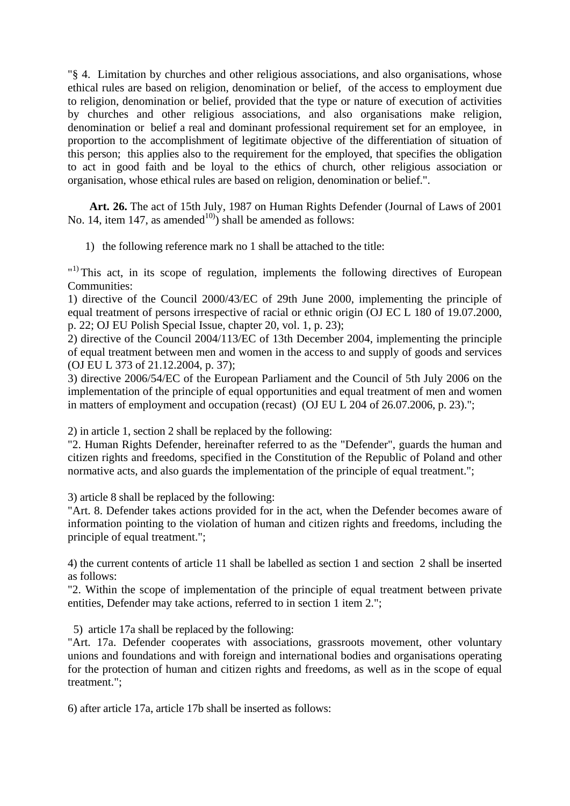"§ 4. Limitation by churches and other religious associations, and also organisations, whose ethical rules are based on religion, denomination or belief, of the access to employment due to religion, denomination or belief, provided that the type or nature of execution of activities by churches and other religious associations, and also organisations make religion, denomination or belief a real and dominant professional requirement set for an employee, in proportion to the accomplishment of legitimate objective of the differentiation of situation of this person; this applies also to the requirement for the employed, that specifies the obligation to act in good faith and be loyal to the ethics of church, other religious association or organisation, whose ethical rules are based on religion, denomination or belief.".

**Art. 26.** The act of 15th July, 1987 on Human Rights Defender (Journal of Laws of 2001 No. 14, item 147, as amended<sup>10</sup>) shall be amended as follows:

1) the following reference mark no 1 shall be attached to the title:

"<sup>1)</sup> This act, in its scope of regulation, implements the following directives of European Communities:

1) directive of the Council 2000/43/EC of 29th June 2000, implementing the principle of equal treatment of persons irrespective of racial or ethnic origin (OJ EC L 180 of 19.07.2000, p. 22; OJ EU Polish Special Issue, chapter 20, vol. 1, p. 23);

2) directive of the Council 2004/113/EC of 13th December 2004, implementing the principle of equal treatment between men and women in the access to and supply of goods and services (OJ EU L 373 of 21.12.2004, p. 37);

3) directive 2006/54/EC of the European Parliament and the Council of 5th July 2006 on the implementation of the principle of equal opportunities and equal treatment of men and women in matters of employment and occupation (recast) (OJ EU L 204 of 26.07.2006, p. 23).";

2) in article 1, section 2 shall be replaced by the following:

"2. Human Rights Defender, hereinafter referred to as the "Defender", guards the human and citizen rights and freedoms, specified in the Constitution of the Republic of Poland and other normative acts, and also guards the implementation of the principle of equal treatment.";

3) article 8 shall be replaced by the following:

"Art. 8. Defender takes actions provided for in the act, when the Defender becomes aware of information pointing to the violation of human and citizen rights and freedoms, including the principle of equal treatment.";

4) the current contents of article 11 shall be labelled as section 1 and section 2 shall be inserted as follows:

"2. Within the scope of implementation of the principle of equal treatment between private entities, Defender may take actions, referred to in section 1 item 2.";

5) article 17a shall be replaced by the following:

"Art. 17a. Defender cooperates with associations, grassroots movement, other voluntary unions and foundations and with foreign and international bodies and organisations operating for the protection of human and citizen rights and freedoms, as well as in the scope of equal treatment.";

6) after article 17a, article 17b shall be inserted as follows: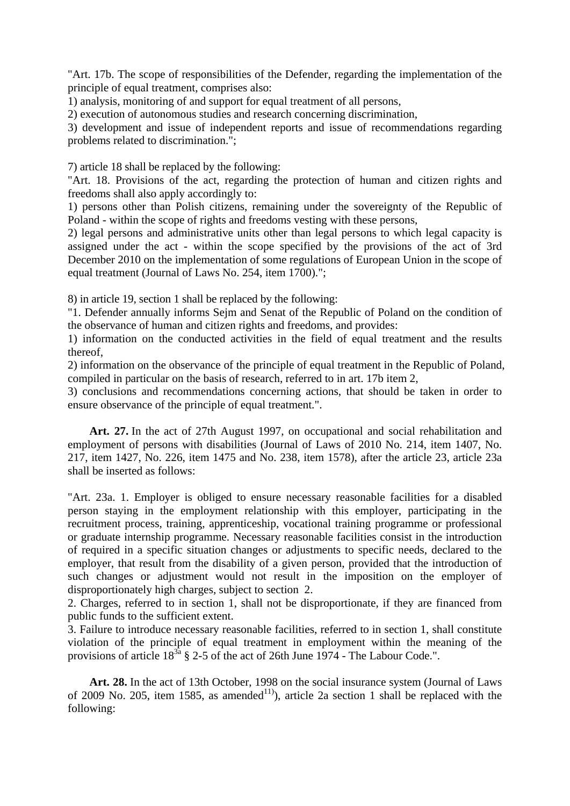"Art. 17b. The scope of responsibilities of the Defender, regarding the implementation of the principle of equal treatment, comprises also:

1) analysis, monitoring of and support for equal treatment of all persons,

2) execution of autonomous studies and research concerning discrimination,

3) development and issue of independent reports and issue of recommendations regarding problems related to discrimination.";

7) article 18 shall be replaced by the following:

"Art. 18. Provisions of the act, regarding the protection of human and citizen rights and freedoms shall also apply accordingly to:

1) persons other than Polish citizens, remaining under the sovereignty of the Republic of Poland - within the scope of rights and freedoms vesting with these persons,

2) legal persons and administrative units other than legal persons to which legal capacity is assigned under the act - within the scope specified by the provisions of the act of 3rd December 2010 on the implementation of some regulations of European Union in the scope of equal treatment (Journal of Laws No. 254, item 1700).";

8) in article 19, section 1 shall be replaced by the following:

"1. Defender annually informs Sejm and Senat of the Republic of Poland on the condition of the observance of human and citizen rights and freedoms, and provides:

1) information on the conducted activities in the field of equal treatment and the results thereof,

2) information on the observance of the principle of equal treatment in the Republic of Poland, compiled in particular on the basis of research, referred to in art. 17b item 2,

3) conclusions and recommendations concerning actions, that should be taken in order to ensure observance of the principle of equal treatment.".

**Art. 27.** In the act of 27th August 1997, on occupational and social rehabilitation and employment of persons with disabilities (Journal of Laws of 2010 No. 214, item 1407, No. 217, item 1427, No. 226, item 1475 and No. 238, item 1578), after the article 23, article 23a shall be inserted as follows:

"Art. 23a. 1. Employer is obliged to ensure necessary reasonable facilities for a disabled person staying in the employment relationship with this employer, participating in the recruitment process, training, apprenticeship, vocational training programme or professional or graduate internship programme. Necessary reasonable facilities consist in the introduction of required in a specific situation changes or adjustments to specific needs, declared to the employer, that result from the disability of a given person, provided that the introduction of such changes or adjustment would not result in the imposition on the employer of disproportionately high charges, subject to section 2.

2. Charges, referred to in section 1, shall not be disproportionate, if they are financed from public funds to the sufficient extent.

3. Failure to introduce necessary reasonable facilities, referred to in section 1, shall constitute violation of the principle of equal treatment in employment within the meaning of the provisions of article  $18^{3a}$  § 2-5 of the act of 26th June 1974 - The Labour Code.".

**Art. 28.** In the act of 13th October, 1998 on the social insurance system (Journal of Laws of 2009 No. 205, item 1585, as amended<sup>11)</sup>, article 2a section 1 shall be replaced with the following: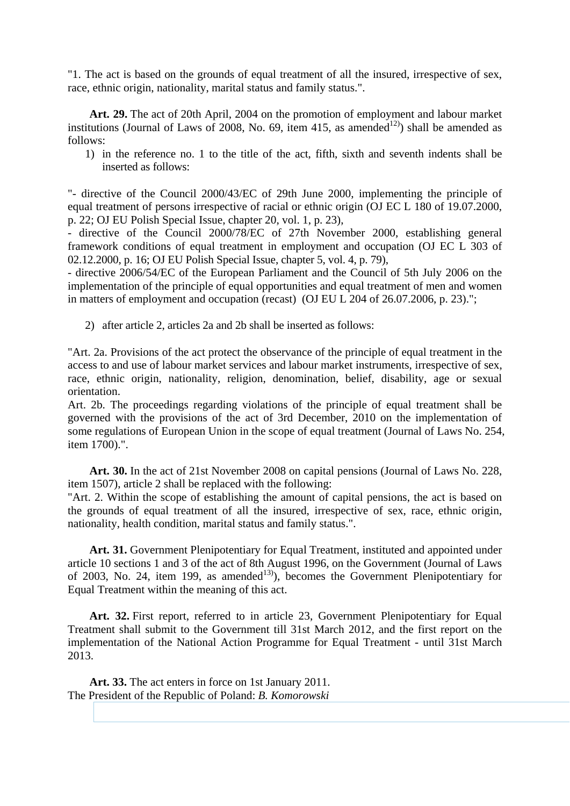"1. The act is based on the grounds of equal treatment of all the insured, irrespective of sex, race, ethnic origin, nationality, marital status and family status.".

**Art. 29.** The act of 20th April, 2004 on the promotion of employment and labour market institutions (Journal of Laws of 2008, No. 69, item 415, as amended<sup>12)</sup>) shall be amended as follows:

1) in the reference no. 1 to the title of the act, fifth, sixth and seventh indents shall be inserted as follows:

"- directive of the Council 2000/43/EC of 29th June 2000, implementing the principle of equal treatment of persons irrespective of racial or ethnic origin (OJ EC L 180 of 19.07.2000, p. 22; OJ EU Polish Special Issue, chapter 20, vol. 1, p. 23),

- directive of the Council 2000/78/EC of 27th November 2000, establishing general framework conditions of equal treatment in employment and occupation (OJ EC L 303 of 02.12.2000, p. 16; OJ EU Polish Special Issue, chapter 5, vol. 4, p. 79),

- directive 2006/54/EC of the European Parliament and the Council of 5th July 2006 on the implementation of the principle of equal opportunities and equal treatment of men and women in matters of employment and occupation (recast) (OJ EU L 204 of 26.07.2006, p. 23).";

2) after article 2, articles 2a and 2b shall be inserted as follows:

"Art. 2a. Provisions of the act protect the observance of the principle of equal treatment in the access to and use of labour market services and labour market instruments, irrespective of sex, race, ethnic origin, nationality, religion, denomination, belief, disability, age or sexual orientation.

Art. 2b. The proceedings regarding violations of the principle of equal treatment shall be governed with the provisions of the act of 3rd December, 2010 on the implementation of some regulations of European Union in the scope of equal treatment (Journal of Laws No. 254, item 1700).".

**Art. 30.** In the act of 21st November 2008 on capital pensions (Journal of Laws No. 228, item 1507), article 2 shall be replaced with the following:

"Art. 2. Within the scope of establishing the amount of capital pensions, the act is based on the grounds of equal treatment of all the insured, irrespective of sex, race, ethnic origin, nationality, health condition, marital status and family status.".

**Art. 31.** Government Plenipotentiary for Equal Treatment, instituted and appointed under article 10 sections 1 and 3 of the act of 8th August 1996, on the Government (Journal of Laws of 2003, No. 24, item 199, as amended<sup>13</sup>), becomes the Government Plenipotentiary for Equal Treatment within the meaning of this act.

**Art. 32.** First report, referred to in article 23, Government Plenipotentiary for Equal Treatment shall submit to the Government till 31st March 2012, and the first report on the implementation of the National Action Programme for Equal Treatment - until 31st March 2013.

**Art. 33.** The act enters in force on 1st January 2011. The President of the Republic of Poland: *B. Komorowski*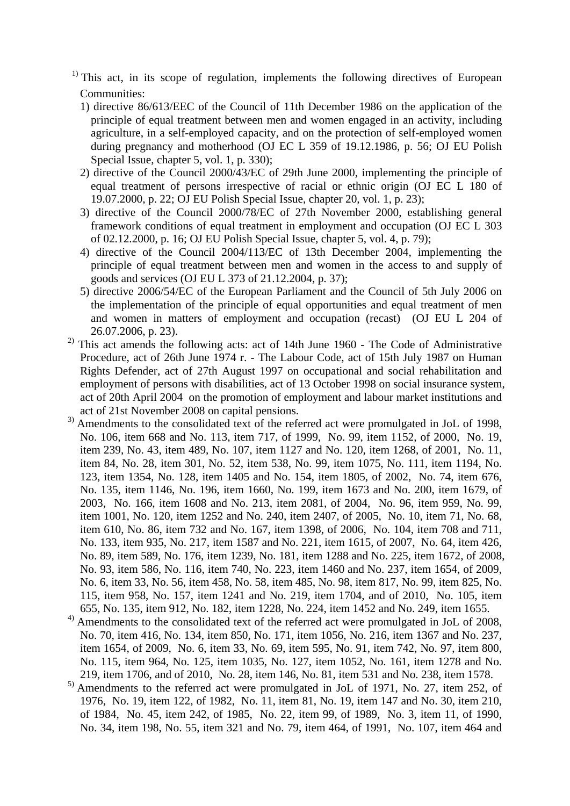- $<sup>1)</sup>$  This act, in its scope of regulation, implements the following directives of European</sup> Communities:
	- 1) directive 86/613/EEC of the Council of 11th December 1986 on the application of the principle of equal treatment between men and women engaged in an activity, including agriculture, in a self-employed capacity, and on the protection of self-employed women during pregnancy and motherhood (OJ EC L 359 of 19.12.1986, p. 56; OJ EU Polish Special Issue, chapter 5, vol. 1, p. 330);
	- 2) directive of the Council 2000/43/EC of 29th June 2000, implementing the principle of equal treatment of persons irrespective of racial or ethnic origin (OJ EC L 180 of 19.07.2000, p. 22; OJ EU Polish Special Issue, chapter 20, vol. 1, p. 23);
	- 3) directive of the Council 2000/78/EC of 27th November 2000, establishing general framework conditions of equal treatment in employment and occupation (OJ EC L 303 of 02.12.2000, p. 16; OJ EU Polish Special Issue, chapter 5, vol. 4, p. 79);
	- 4) directive of the Council 2004/113/EC of 13th December 2004, implementing the principle of equal treatment between men and women in the access to and supply of goods and services (OJ EU L 373 of 21.12.2004, p. 37);
	- 5) directive 2006/54/EC of the European Parliament and the Council of 5th July 2006 on the implementation of the principle of equal opportunities and equal treatment of men and women in matters of employment and occupation (recast) (OJ EU L 204 of 26.07.2006, p. 23).
- $^{2)}$  This act amends the following acts: act of 14th June 1960 The Code of Administrative Procedure, act of 26th June 1974 r. - The Labour Code, act of 15th July 1987 on Human Rights Defender, act of 27th August 1997 on occupational and social rehabilitation and employment of persons with disabilities, act of 13 October 1998 on social insurance system, act of 20th April 2004 on the promotion of employment and labour market institutions and act of 21st November 2008 on capital pensions.
- <sup>3)</sup> Amendments to the consolidated text of the referred act were promulgated in JoL of 1998, No. 106, item 668 and No. 113, item 717, of 1999, No. 99, item 1152, of 2000, No. 19, item 239, No. 43, item 489, No. 107, item 1127 and No. 120, item 1268, of 2001, No. 11, item 84, No. 28, item 301, No. 52, item 538, No. 99, item 1075, No. 111, item 1194, No. 123, item 1354, No. 128, item 1405 and No. 154, item 1805, of 2002, No. 74, item 676, No. 135, item 1146, No. 196, item 1660, No. 199, item 1673 and No. 200, item 1679, of 2003, No. 166, item 1608 and No. 213, item 2081, of 2004, No. 96, item 959, No. 99, item 1001, No. 120, item 1252 and No. 240, item 2407, of 2005, No. 10, item 71, No. 68, item 610, No. 86, item 732 and No. 167, item 1398, of 2006, No. 104, item 708 and 711, No. 133, item 935, No. 217, item 1587 and No. 221, item 1615, of 2007, No. 64, item 426, No. 89, item 589, No. 176, item 1239, No. 181, item 1288 and No. 225, item 1672, of 2008, No. 93, item 586, No. 116, item 740, No. 223, item 1460 and No. 237, item 1654, of 2009, No. 6, item 33, No. 56, item 458, No. 58, item 485, No. 98, item 817, No. 99, item 825, No. 115, item 958, No. 157, item 1241 and No. 219, item 1704, and of 2010, No. 105, item 655, No. 135, item 912, No. 182, item 1228, No. 224, item 1452 and No. 249, item 1655.
- <sup>4)</sup> Amendments to the consolidated text of the referred act were promulgated in JoL of 2008, No. 70, item 416, No. 134, item 850, No. 171, item 1056, No. 216, item 1367 and No. 237, item 1654, of 2009, No. 6, item 33, No. 69, item 595, No. 91, item 742, No. 97, item 800, No. 115, item 964, No. 125, item 1035, No. 127, item 1052, No. 161, item 1278 and No. 219, item 1706, and of 2010, No. 28, item 146, No. 81, item 531 and No. 238, item 1578.
- <sup>5)</sup> Amendments to the referred act were promulgated in JoL of 1971, No. 27, item 252, of 1976, No. 19, item 122, of 1982, No. 11, item 81, No. 19, item 147 and No. 30, item 210, of 1984, No. 45, item 242, of 1985, No. 22, item 99, of 1989, No. 3, item 11, of 1990, No. 34, item 198, No. 55, item 321 and No. 79, item 464, of 1991, No. 107, item 464 and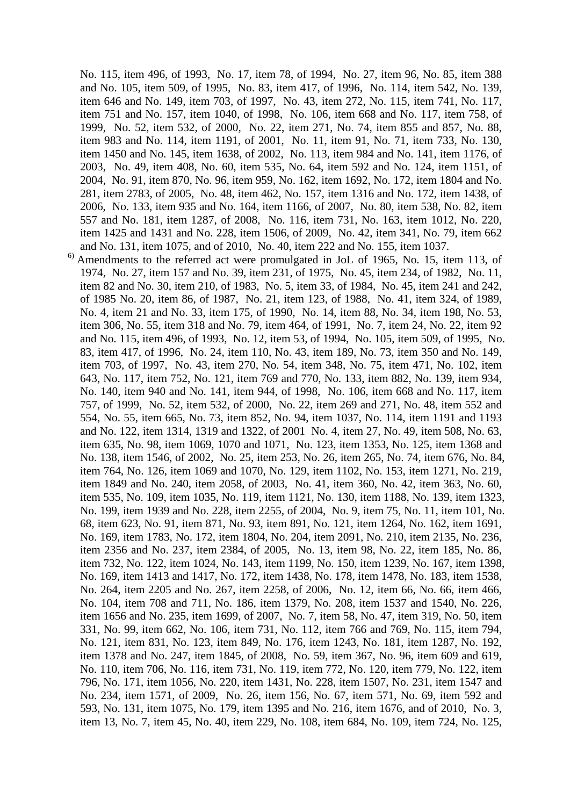No. 115, item 496, of 1993, No. 17, item 78, of 1994, No. 27, item 96, No. 85, item 388 and No. 105, item 509, of 1995, No. 83, item 417, of 1996, No. 114, item 542, No. 139, item 646 and No. 149, item 703, of 1997, No. 43, item 272, No. 115, item 741, No. 117, item 751 and No. 157, item 1040, of 1998, No. 106, item 668 and No. 117, item 758, of 1999, No. 52, item 532, of 2000, No. 22, item 271, No. 74, item 855 and 857, No. 88, item 983 and No. 114, item 1191, of 2001, No. 11, item 91, No. 71, item 733, No. 130, item 1450 and No. 145, item 1638, of 2002, No. 113, item 984 and No. 141, item 1176, of 2003, No. 49, item 408, No. 60, item 535, No. 64, item 592 and No. 124, item 1151, of 2004, No. 91, item 870, No. 96, item 959, No. 162, item 1692, No. 172, item 1804 and No. 281, item 2783, of 2005, No. 48, item 462, No. 157, item 1316 and No. 172, item 1438, of 2006, No. 133, item 935 and No. 164, item 1166, of 2007, No. 80, item 538, No. 82, item 557 and No. 181, item 1287, of 2008, No. 116, item 731, No. 163, item 1012, No. 220, item 1425 and 1431 and No. 228, item 1506, of 2009, No. 42, item 341, No. 79, item 662 and No. 131, item 1075, and of 2010, No. 40, item 222 and No. 155, item 1037.

 $<sup>6)</sup>$  Amendments to the referred act were promulgated in JoL of 1965, No. 15, item 113, of</sup> 1974, No. 27, item 157 and No. 39, item 231, of 1975, No. 45, item 234, of 1982, No. 11, item 82 and No. 30, item 210, of 1983, No. 5, item 33, of 1984, No. 45, item 241 and 242, of 1985 No. 20, item 86, of 1987, No. 21, item 123, of 1988, No. 41, item 324, of 1989, No. 4, item 21 and No. 33, item 175, of 1990, No. 14, item 88, No. 34, item 198, No. 53, item 306, No. 55, item 318 and No. 79, item 464, of 1991, No. 7, item 24, No. 22, item 92 and No. 115, item 496, of 1993, No. 12, item 53, of 1994, No. 105, item 509, of 1995, No. 83, item 417, of 1996, No. 24, item 110, No. 43, item 189, No. 73, item 350 and No. 149, item 703, of 1997, No. 43, item 270, No. 54, item 348, No. 75, item 471, No. 102, item 643, No. 117, item 752, No. 121, item 769 and 770, No. 133, item 882, No. 139, item 934, No. 140, item 940 and No. 141, item 944, of 1998, No. 106, item 668 and No. 117, item 757, of 1999, No. 52, item 532, of 2000, No. 22, item 269 and 271, No. 48, item 552 and 554, No. 55, item 665, No. 73, item 852, No. 94, item 1037, No. 114, item 1191 and 1193 and No. 122, item 1314, 1319 and 1322, of 2001 No. 4, item 27, No. 49, item 508, No. 63, item 635, No. 98, item 1069, 1070 and 1071, No. 123, item 1353, No. 125, item 1368 and No. 138, item 1546, of 2002, No. 25, item 253, No. 26, item 265, No. 74, item 676, No. 84, item 764, No. 126, item 1069 and 1070, No. 129, item 1102, No. 153, item 1271, No. 219, item 1849 and No. 240, item 2058, of 2003, No. 41, item 360, No. 42, item 363, No. 60, item 535, No. 109, item 1035, No. 119, item 1121, No. 130, item 1188, No. 139, item 1323, No. 199, item 1939 and No. 228, item 2255, of 2004, No. 9, item 75, No. 11, item 101, No. 68, item 623, No. 91, item 871, No. 93, item 891, No. 121, item 1264, No. 162, item 1691, No. 169, item 1783, No. 172, item 1804, No. 204, item 2091, No. 210, item 2135, No. 236, item 2356 and No. 237, item 2384, of 2005, No. 13, item 98, No. 22, item 185, No. 86, item 732, No. 122, item 1024, No. 143, item 1199, No. 150, item 1239, No. 167, item 1398, No. 169, item 1413 and 1417, No. 172, item 1438, No. 178, item 1478, No. 183, item 1538, No. 264, item 2205 and No. 267, item 2258, of 2006, No. 12, item 66, No. 66, item 466, No. 104, item 708 and 711, No. 186, item 1379, No. 208, item 1537 and 1540, No. 226, item 1656 and No. 235, item 1699, of 2007, No. 7, item 58, No. 47, item 319, No. 50, item 331, No. 99, item 662, No. 106, item 731, No. 112, item 766 and 769, No. 115, item 794, No. 121, item 831, No. 123, item 849, No. 176, item 1243, No. 181, item 1287, No. 192, item 1378 and No. 247, item 1845, of 2008, No. 59, item 367, No. 96, item 609 and 619, No. 110, item 706, No. 116, item 731, No. 119, item 772, No. 120, item 779, No. 122, item 796, No. 171, item 1056, No. 220, item 1431, No. 228, item 1507, No. 231, item 1547 and No. 234, item 1571, of 2009, No. 26, item 156, No. 67, item 571, No. 69, item 592 and 593, No. 131, item 1075, No. 179, item 1395 and No. 216, item 1676, and of 2010, No. 3, item 13, No. 7, item 45, No. 40, item 229, No. 108, item 684, No. 109, item 724, No. 125,